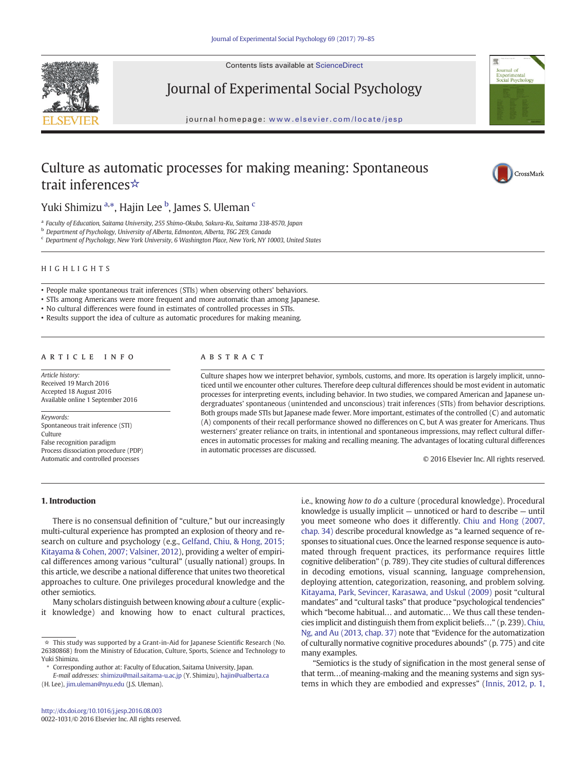Contents lists available at ScienceDirect



Journal of Experimental Social Psychology

journal homepage: <www.elsevier.com/locate/jesp>



# Culture as automatic processes for making meaning: Spontaneous trait inferences☆



Yuki Shimizu <sup>a,</sup>\*, Hajin Lee <sup>b</sup>, James S. Uleman <sup>c</sup>

<sup>a</sup> Faculty of Education, Saitama University, 255 Shimo-Okubo, Sakura-Ku, Saitama 338-8570, Japan

b Department of Psychology, University of Alberta, Edmonton, Alberta, T6G 2E9, Canada

<sup>c</sup> Department of Psychology, New York University, 6 Washington Place, New York, NY 10003, United States

# HIGHLIGHTS

• People make spontaneous trait inferences (STIs) when observing others' behaviors.

• STIs among Americans were more frequent and more automatic than among Japanese.

• No cultural differences were found in estimates of controlled processes in STIs.

• Results support the idea of culture as automatic procedures for making meaning.

# article info abstract

Article history: Received 19 March 2016 Accepted 18 August 2016 Available online 1 September 2016

Keywords: Spontaneous trait inference (STI) Culture False recognition paradigm Process dissociation procedure (PDP) Automatic and controlled processes

Culture shapes how we interpret behavior, symbols, customs, and more. Its operation is largely implicit, unnoticed until we encounter other cultures. Therefore deep cultural differences should be most evident in automatic processes for interpreting events, including behavior. In two studies, we compared American and Japanese undergraduates' spontaneous (unintended and unconscious) trait inferences (STIs) from behavior descriptions. Both groups made STIs but Japanese made fewer. More important, estimates of the controlled (C) and automatic (A) components of their recall performance showed no differences on C, but A was greater for Americans. Thus westerners' greater reliance on traits, in intentional and spontaneous impressions, may reflect cultural differences in automatic processes for making and recalling meaning. The advantages of locating cultural differences in automatic processes are discussed.

© 2016 Elsevier Inc. All rights reserved.

# 1. Introduction

There is no consensual definition of "culture," but our increasingly multi-cultural experience has prompted an explosion of theory and research on culture and psychology (e.g., [Gelfand, Chiu, & Hong, 2015;](#page-5-0) [Kitayama & Cohen, 2007; Valsiner, 2012\)](#page-5-0), providing a welter of empirical differences among various "cultural" (usually national) groups. In this article, we describe a national difference that unites two theoretical approaches to culture. One privileges procedural knowledge and the other semiotics.

Many scholars distinguish between knowing about a culture (explicit knowledge) and knowing how to enact cultural practices,

E-mail addresses: shimizu@mail.saitama-u.ac.jp (Y. Shimizu), hajin@ualberta.ca (H. Lee), [jim.uleman@nyu.edu](mailto:jim.uleman@nyu.edu) (J.S. Uleman).

i.e., knowing how to do a culture (procedural knowledge). Procedural knowledge is usually implicit — unnoticed or hard to describe — until you meet someone who does it differently. [Chiu and Hong \(2007,](#page-5-0) [chap. 34\)](#page-5-0) describe procedural knowledge as "a learned sequence of responses to situational cues. Once the learned response sequence is automated through frequent practices, its performance requires little cognitive deliberation" (p. 789). They cite studies of cultural differences in decoding emotions, visual scanning, language comprehension, deploying attention, categorization, reasoning, and problem solving. [Kitayama, Park, Sevincer, Karasawa, and Uskul \(2009\)](#page-6-0) posit "cultural mandates" and "cultural tasks" that produce "psychological tendencies" which "become habitual… and automatic… We thus call these tendencies implicit and distinguish them from explicit beliefs…" (p. 239). [Chiu,](#page-5-0) [Ng, and Au \(2013, chap. 37\)](#page-5-0) note that "Evidence for the automatization of culturally normative cognitive procedures abounds" (p. 775) and cite many examples.

"Semiotics is the study of signification in the most general sense of that term…of meaning-making and the meaning systems and sign systems in which they are embodied and expresses" [\(Innis, 2012, p. 1,](#page-6-0)

 $\dot{\tau}$  This study was supported by a Grant-in-Aid for Japanese Scientific Research (No. 26380868) from the Ministry of Education, Culture, Sports, Science and Technology to Yuki Shimizu.

<sup>⁎</sup> Corresponding author at: Faculty of Education, Saitama University, Japan.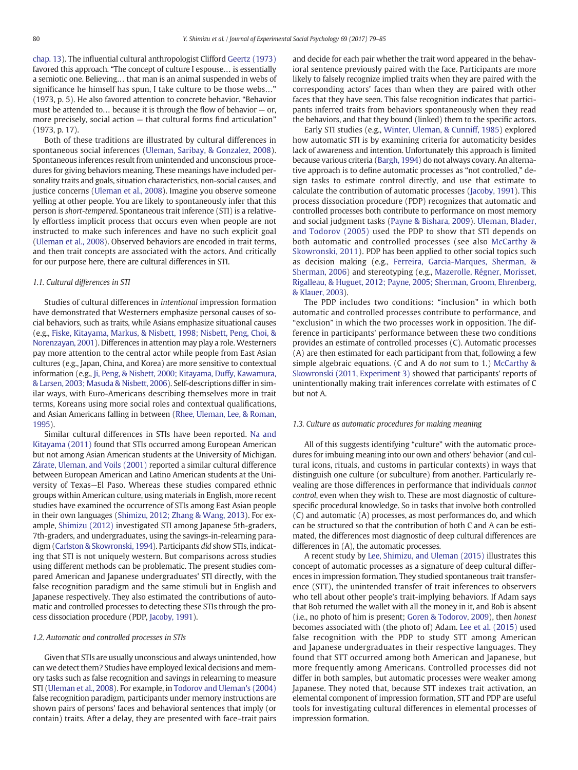[chap. 13](#page-6-0)). The influential cultural anthropologist Clifford [Geertz \(1973\)](#page-5-0) favored this approach. "The concept of culture I espouse… is essentially a semiotic one. Believing… that man is an animal suspended in webs of significance he himself has spun, I take culture to be those webs…" (1973, p. 5). He also favored attention to concrete behavior. "Behavior must be attended to… because it is through the flow of behavior — or, more precisely, social action — that cultural forms find articulation" (1973, p. 17).

Both of these traditions are illustrated by cultural differences in spontaneous social inferences [\(Uleman, Saribay, & Gonzalez, 2008](#page-6-0)). Spontaneous inferences result from unintended and unconscious procedures for giving behaviors meaning. These meanings have included personality traits and goals, situation characteristics, non-social causes, and justice concerns [\(Uleman et al., 2008](#page-6-0)). Imagine you observe someone yelling at other people. You are likely to spontaneously infer that this person is short-tempered. Spontaneous trait inference (STI) is a relatively effortless implicit process that occurs even when people are not instructed to make such inferences and have no such explicit goal [\(Uleman et al., 2008](#page-6-0)). Observed behaviors are encoded in trait terms, and then trait concepts are associated with the actors. And critically for our purpose here, there are cultural differences in STI.

### 1.1. Cultural differences in STI

Studies of cultural differences in intentional impression formation have demonstrated that Westerners emphasize personal causes of social behaviors, such as traits, while Asians emphasize situational causes (e.g., [Fiske, Kitayama, Markus, & Nisbett, 1998; Nisbett, Peng, Choi, &](#page-5-0) [Norenzayan, 2001](#page-5-0)). Differences in attention may play a role. Westerners pay more attention to the central actor while people from East Asian cultures (e.g., Japan, China, and Korea) are more sensitive to contextual information (e.g., [Ji, Peng, & Nisbett, 2000; Kitayama, Duffy, Kawamura,](#page-6-0) [& Larsen, 2003; Masuda & Nisbett, 2006](#page-6-0)). Self-descriptions differ in similar ways, with Euro-Americans describing themselves more in trait terms, Koreans using more social roles and contextual qualifications, and Asian Americans falling in between [\(Rhee, Uleman, Lee, & Roman,](#page-6-0) [1995\)](#page-6-0).

Similar cultural differences in STIs have been reported. [Na and](#page-6-0) [Kitayama \(2011\)](#page-6-0) found that STIs occurred among European American but not among Asian American students at the University of Michigan. [Zárate, Uleman, and Voils \(2001\)](#page-6-0) reported a similar cultural difference between European American and Latino American students at the University of Texas—El Paso. Whereas these studies compared ethnic groups within American culture, using materials in English, more recent studies have examined the occurrence of STIs among East Asian people in their own languages [\(Shimizu, 2012; Zhang & Wang, 2013](#page-6-0)). For example, [Shimizu \(2012\)](#page-6-0) investigated STI among Japanese 5th-graders, 7th-graders, and undergraduates, using the savings-in-relearning paradigm [\(Carlston & Skowronski, 1994](#page-5-0)). Participants did show STIs, indicating that STI is not uniquely western. But comparisons across studies using different methods can be problematic. The present studies compared American and Japanese undergraduates' STI directly, with the false recognition paradigm and the same stimuli but in English and Japanese respectively. They also estimated the contributions of automatic and controlled processes to detecting these STIs through the process dissociation procedure (PDP, [Jacoby, 1991\)](#page-6-0).

#### 1.2. Automatic and controlled processes in STIs

Given that STIs are usually unconscious and always unintended, how can we detect them? Studies have employed lexical decisions and memory tasks such as false recognition and savings in relearning to measure STI ([Uleman et al., 2008\)](#page-6-0). For example, in [Todorov and Uleman's \(2004\)](#page-6-0) false recognition paradigm, participants under memory instructions are shown pairs of persons' faces and behavioral sentences that imply (or contain) traits. After a delay, they are presented with face–trait pairs and decide for each pair whether the trait word appeared in the behavioral sentence previously paired with the face. Participants are more likely to falsely recognize implied traits when they are paired with the corresponding actors' faces than when they are paired with other faces that they have seen. This false recognition indicates that participants inferred traits from behaviors spontaneously when they read the behaviors, and that they bound (linked) them to the specific actors.

Early STI studies (e.g., [Winter, Uleman, & Cunniff, 1985\)](#page-6-0) explored how automatic STI is by examining criteria for automaticity besides lack of awareness and intention. Unfortunately this approach is limited because various criteria [\(Bargh, 1994](#page-5-0)) do not always covary. An alternative approach is to define automatic processes as "not controlled," design tasks to estimate control directly, and use that estimate to calculate the contribution of automatic processes ([Jacoby, 1991](#page-6-0)). This process dissociation procedure (PDP) recognizes that automatic and controlled processes both contribute to performance on most memory and social judgment tasks ([Payne & Bishara, 2009](#page-6-0)). [Uleman, Blader,](#page-6-0) [and Todorov \(2005\)](#page-6-0) used the PDP to show that STI depends on both automatic and controlled processes (see also [McCarthy &](#page-6-0) [Skowronski, 2011\)](#page-6-0). PDP has been applied to other social topics such as decision making (e.g., [Ferreira, Garcia-Marques, Sherman, &](#page-5-0) [Sherman, 2006](#page-5-0)) and stereotyping (e.g., [Mazerolle, Régner, Morisset,](#page-6-0) [Rigalleau, & Huguet, 2012; Payne, 2005; Sherman, Groom, Ehrenberg,](#page-6-0) [& Klauer, 2003](#page-6-0)).

The PDP includes two conditions: "inclusion" in which both automatic and controlled processes contribute to performance, and "exclusion" in which the two processes work in opposition. The difference in participants' performance between these two conditions provides an estimate of controlled processes (C). Automatic processes (A) are then estimated for each participant from that, following a few simple algebraic equations. (C and A do not sum to 1.) [McCarthy &](#page-6-0) [Skowronski \(2011, Experiment 3\)](#page-6-0) showed that participants' reports of unintentionally making trait inferences correlate with estimates of C but not A.

# 1.3. Culture as automatic procedures for making meaning

All of this suggests identifying "culture" with the automatic procedures for imbuing meaning into our own and others' behavior (and cultural icons, rituals, and customs in particular contexts) in ways that distinguish one culture (or subculture) from another. Particularly revealing are those differences in performance that individuals cannot control, even when they wish to. These are most diagnostic of culturespecific procedural knowledge. So in tasks that involve both controlled (C) and automatic (A) processes, as most performances do, and which can be structured so that the contribution of both C and A can be estimated, the differences most diagnostic of deep cultural differences are differences in (A), the automatic processes.

A recent study by [Lee, Shimizu, and Uleman \(2015\)](#page-6-0) illustrates this concept of automatic processes as a signature of deep cultural differences in impression formation. They studied spontaneous trait transference (STT), the unintended transfer of trait inferences to observers who tell about other people's trait-implying behaviors. If Adam says that Bob returned the wallet with all the money in it, and Bob is absent (i.e., no photo of him is present; [Goren & Todorov, 2009\)](#page-6-0), then honest becomes associated with (the photo of) Adam. [Lee et al. \(2015\)](#page-6-0) used false recognition with the PDP to study STT among American and Japanese undergraduates in their respective languages. They found that STT occurred among both American and Japanese, but more frequently among Americans. Controlled processes did not differ in both samples, but automatic processes were weaker among Japanese. They noted that, because STT indexes trait activation, an elemental component of impression formation, STT and PDP are useful tools for investigating cultural differences in elemental processes of impression formation.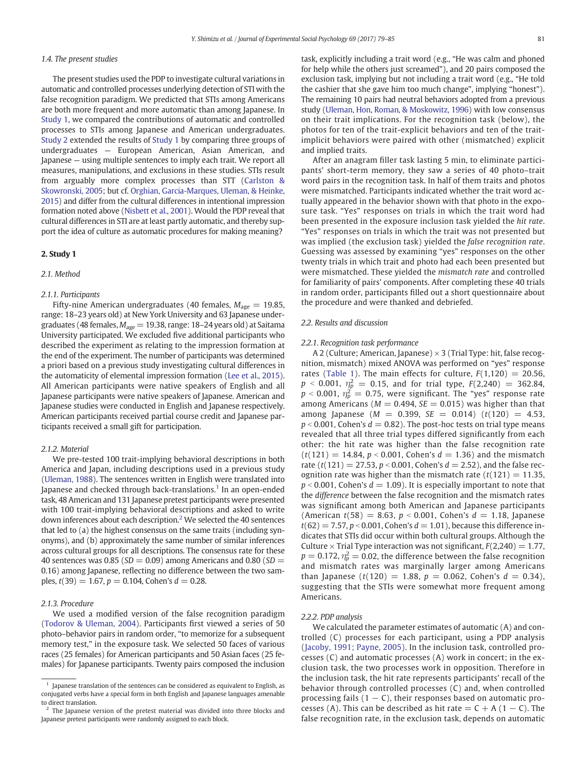# <span id="page-2-0"></span>1.4. The present studies

The present studies used the PDP to investigate cultural variations in automatic and controlled processes underlying detection of STI with the false recognition paradigm. We predicted that STIs among Americans are both more frequent and more automatic than among Japanese. In Study 1, we compared the contributions of automatic and controlled processes to STIs among Japanese and American undergraduates. [Study 2](#page-3-0) extended the results of Study 1 by comparing three groups of undergraduates — European American, Asian American, and Japanese — using multiple sentences to imply each trait. We report all measures, manipulations, and exclusions in these studies. STIs result from arguably more complex processes than STT ([Carlston &](#page-5-0) [Skowronski, 2005;](#page-5-0) but cf. [Orghian, Garcia-Marques, Uleman, & Heinke,](#page-6-0) [2015](#page-6-0)) and differ from the cultural differences in intentional impression formation noted above [\(Nisbett et al., 2001](#page-6-0)). Would the PDP reveal that cultural differences in STI are at least partly automatic, and thereby support the idea of culture as automatic procedures for making meaning?

### 2. Study 1

#### 2.1. Method

# 2.1.1. Participants

Fifty-nine American undergraduates (40 females,  $M_{\text{age}} = 19.85$ , range: 18–23 years old) at New York University and 63 Japanese undergraduates (48 females,  $M_{\text{age}} = 19.38$ , range: 18–24 years old) at Saitama University participated. We excluded five additional participants who described the experiment as relating to the impression formation at the end of the experiment. The number of participants was determined a priori based on a previous study investigating cultural differences in the automaticity of elemental impression formation ([Lee et al., 2015](#page-6-0)). All American participants were native speakers of English and all Japanese participants were native speakers of Japanese. American and Japanese studies were conducted in English and Japanese respectively. American participants received partial course credit and Japanese participants received a small gift for participation.

#### 2.1.2. Material

We pre-tested 100 trait-implying behavioral descriptions in both America and Japan, including descriptions used in a previous study [\(Uleman, 1988\)](#page-6-0). The sentences written in English were translated into Japanese and checked through back-translations.<sup>1</sup> In an open-ended task, 48 American and 131 Japanese pretest participants were presented with 100 trait-implying behavioral descriptions and asked to write down inferences about each description.<sup>2</sup> We selected the 40 sentences that led to (a) the highest consensus on the same traits (including synonyms), and (b) approximately the same number of similar inferences across cultural groups for all descriptions. The consensus rate for these 40 sentences was 0.85 ( $SD = 0.09$ ) among Americans and 0.80 ( $SD =$ 0.16) among Japanese, reflecting no difference between the two samples,  $t(39) = 1.67$ ,  $p = 0.104$ , Cohen's  $d = 0.28$ .

# 2.1.3. Procedure

We used a modified version of the false recognition paradigm [\(Todorov & Uleman, 2004](#page-6-0)). Participants first viewed a series of 50 photo–behavior pairs in random order, "to memorize for a subsequent memory test," in the exposure task. We selected 50 faces of various races (25 females) for American participants and 50 Asian faces (25 females) for Japanese participants. Twenty pairs composed the inclusion task, explicitly including a trait word (e.g., "He was calm and phoned for help while the others just screamed"), and 20 pairs composed the exclusion task, implying but not including a trait word (e.g., "He told the cashier that she gave him too much change", implying "honest"). The remaining 10 pairs had neutral behaviors adopted from a previous study ([Uleman, Hon, Roman, & Moskowitz, 1996](#page-6-0)) with low consensus on their trait implications. For the recognition task (below), the photos for ten of the trait-explicit behaviors and ten of the traitimplicit behaviors were paired with other (mismatched) explicit and implied traits.

After an anagram filler task lasting 5 min, to eliminate participants' short-term memory, they saw a series of 40 photo–trait word pairs in the recognition task. In half of them traits and photos were mismatched. Participants indicated whether the trait word actually appeared in the behavior shown with that photo in the exposure task. "Yes" responses on trials in which the trait word had been presented in the exposure inclusion task yielded the hit rate. "Yes" responses on trials in which the trait was not presented but was implied (the exclusion task) yielded the false recognition rate. Guessing was assessed by examining "yes" responses on the other twenty trials in which trait and photo had each been presented but were mismatched. These yielded the mismatch rate and controlled for familiarity of pairs' components. After completing these 40 trials in random order, participants filled out a short questionnaire about the procedure and were thanked and debriefed.

#### 2.2. Results and discussion

#### 2.2.1. Recognition task performance

A 2 (Culture; American, Japanese)  $\times$  3 (Trial Type: hit, false recognition, mismatch) mixed ANOVA was performed on "yes" response rates ([Table 1](#page-3-0)). The main effects for culture,  $F(1,120) = 20.56$ ,  $p$  < 0.001,  $\eta_p^2$  = 0.15, and for trial type, F(2,240) = 362.84,  $p$  < 0.001,  $\eta_p^2 =$  0.75, were significant. The "yes" response rate among Americans ( $M = 0.494$ ,  $SE = 0.015$ ) was higher than that among Japanese ( $M = 0.399$ ,  $SE = 0.014$ ) ( $t(120) = 4.53$ ,  $p < 0.001$ , Cohen's  $d = 0.82$ ). The post-hoc tests on trial type means revealed that all three trial types differed significantly from each other: the hit rate was higher than the false recognition rate  $(t(121) = 14.84, p < 0.001$ , Cohen's  $d = 1.36$ ) and the mismatch rate (t(121) = 27.53,  $p < 0.001$ , Cohen's  $d = 2.52$ ), and the false recognition rate was higher than the mismatch rate  $(t(121) = 11.35$ ,  $p < 0.001$ , Cohen's  $d = 1.09$ ). It is especially important to note that the difference between the false recognition and the mismatch rates was significant among both American and Japanese participants (American  $t(58) = 8.63$ ,  $p < 0.001$ , Cohen's  $d = 1.18$ , Japanese  $t(62) = 7.57, p < 0.001$ , Cohen's  $d = 1.01$ ), because this difference indicates that STIs did occur within both cultural groups. Although the Culture  $\times$  Trial Type interaction was not significant,  $F(2,240) = 1.77$ ,  $p=0.172$ ,  $\eta_p^2=0.02$ , the difference between the false recognition and mismatch rates was marginally larger among Americans than Japanese (t(120) = 1.88,  $p = 0.062$ , Cohen's  $d = 0.34$ ), suggesting that the STIs were somewhat more frequent among Americans.

#### 2.2.2. PDP analysis

We calculated the parameter estimates of automatic (A) and controlled (C) processes for each participant, using a PDP analysis [\(Jacoby, 1991; Payne, 2005\)](#page-6-0). In the inclusion task, controlled processes (C) and automatic processes (A) work in concert; in the exclusion task, the two processes work in opposition. Therefore in the inclusion task, the hit rate represents participants' recall of the behavior through controlled processes (C) and, when controlled processing fails  $(1 - C)$ , their responses based on automatic processes (A). This can be described as hit rate  $= C + A (1 - C)$ . The false recognition rate, in the exclusion task, depends on automatic

 $1$  Japanese translation of the sentences can be considered as equivalent to English, as conjugated verbs have a special form in both English and Japanese languages amenable to direct translation.

 $2$  The Japanese version of the pretest material was divided into three blocks and Japanese pretest participants were randomly assigned to each block.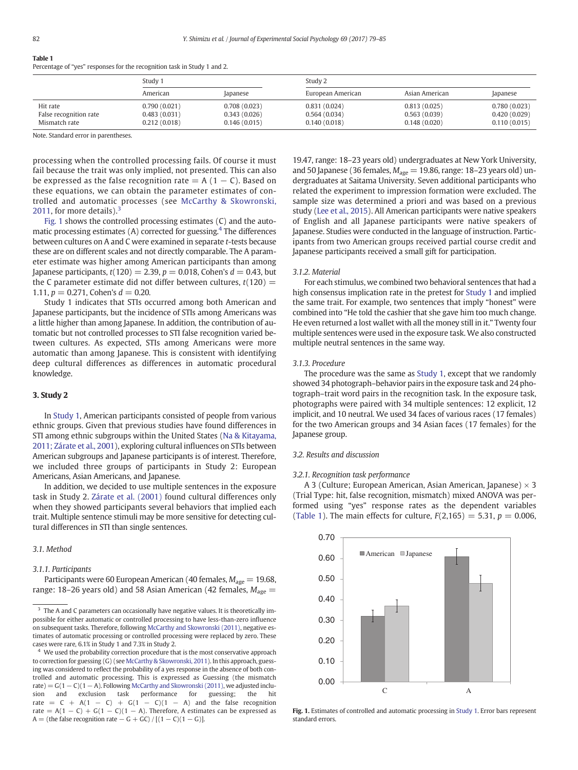# <span id="page-3-0"></span>Table 1

Percentage of "yes" responses for the recognition task in Study 1 and 2.

|                        | Study 1      |                 | Study 2           |                |              |
|------------------------|--------------|-----------------|-------------------|----------------|--------------|
|                        | American     | <i>lapanese</i> | European American | Asian American | apanese      |
| Hit rate               | 0.790(0.021) | 0.708(0.023)    | 0.831(0.024)      | 0.813(0.025)   | 0.780(0.023) |
| False recognition rate | 0.483(0.031) | 0.343(0.026)    | 0.564(0.034)      | 0.563(0.039)   | 0.420(0.029) |
| Mismatch rate          | 0.212(0.018) | 0.146(0.015)    | 0.140(0.018)      | 0.148(0.020)   | 0.110(0.015) |

Note. Standard error in parentheses.

processing when the controlled processing fails. Of course it must fail because the trait was only implied, not presented. This can also be expressed as the false recognition rate =  $A(1 - C)$ . Based on these equations, we can obtain the parameter estimates of controlled and automatic processes (see [McCarthy & Skowronski,](#page-6-0) [2011](#page-6-0), for more details). $3$ 

Fig. 1 shows the controlled processing estimates (C) and the automatic processing estimates  $(A)$  corrected for guessing.<sup>4</sup> The differences between cultures on A and C were examined in separate t-tests because these are on different scales and not directly comparable. The A parameter estimate was higher among American participants than among Japanese participants,  $t(120) = 2.39$ ,  $p = 0.018$ , Cohen's  $d = 0.43$ , but the C parameter estimate did not differ between cultures,  $t(120)$  = 1.11,  $p = 0.271$ , Cohen's  $d = 0.20$ .

Study 1 indicates that STIs occurred among both American and Japanese participants, but the incidence of STIs among Americans was a little higher than among Japanese. In addition, the contribution of automatic but not controlled processes to STI false recognition varied between cultures. As expected, STIs among Americans were more automatic than among Japanese. This is consistent with identifying deep cultural differences as differences in automatic procedural knowledge.

#### 3. Study 2

In [Study 1](#page-2-0), American participants consisted of people from various ethnic groups. Given that previous studies have found differences in STI among ethnic subgroups within the United States ([Na & Kitayama,](#page-6-0) [2011; Zárate et al., 2001\)](#page-6-0), exploring cultural influences on STIs between American subgroups and Japanese participants is of interest. Therefore, we included three groups of participants in Study 2: European Americans, Asian Americans, and Japanese.

In addition, we decided to use multiple sentences in the exposure task in Study 2. [Zárate et al. \(2001\)](#page-6-0) found cultural differences only when they showed participants several behaviors that implied each trait. Multiple sentence stimuli may be more sensitive for detecting cultural differences in STI than single sentences.

# 3.1. Method

#### 3.1.1. Participants

Participants were 60 European American (40 females,  $M_{\text{age}} = 19.68$ , range: 18–26 years old) and 58 Asian American (42 females,  $M_{\text{age}} =$ 

19.47, range: 18–23 years old) undergraduates at New York University, and 50 Japanese (36 females,  $M_{\text{age}} = 19.86$ , range: 18–23 years old) undergraduates at Saitama University. Seven additional participants who related the experiment to impression formation were excluded. The sample size was determined a priori and was based on a previous study ([Lee et al., 2015](#page-6-0)). All American participants were native speakers of English and all Japanese participants were native speakers of Japanese. Studies were conducted in the language of instruction. Participants from two American groups received partial course credit and Japanese participants received a small gift for participation.

# 3.1.2. Material

For each stimulus, we combined two behavioral sentences that had a high consensus implication rate in the pretest for [Study 1](#page-2-0) and implied the same trait. For example, two sentences that imply "honest" were combined into "He told the cashier that she gave him too much change. He even returned a lost wallet with all the money still in it." Twenty four multiple sentences were used in the exposure task. We also constructed multiple neutral sentences in the same way.

#### 3.1.3. Procedure

The procedure was the same as [Study 1](#page-2-0), except that we randomly showed 34 photograph–behavior pairs in the exposure task and 24 photograph–trait word pairs in the recognition task. In the exposure task, photographs were paired with 34 multiple sentences: 12 explicit, 12 implicit, and 10 neutral. We used 34 faces of various races (17 females) for the two American groups and 34 Asian faces (17 females) for the Japanese group.

#### 3.2. Results and discussion

#### 3.2.1. Recognition task performance

A 3 (Culture; European American, Asian American, Japanese)  $\times$  3 (Trial Type: hit, false recognition, mismatch) mixed ANOVA was performed using "yes" response rates as the dependent variables (Table 1). The main effects for culture,  $F(2,165) = 5.31, p = 0.006$ ,



Fig. 1. Estimates of controlled and automatic processing in [Study 1](#page-2-0). Error bars represent standard errors.

<sup>&</sup>lt;sup>3</sup> The A and C parameters can occasionally have negative values. It is theoretically impossible for either automatic or controlled processing to have less-than-zero influence on subsequent tasks. Therefore, following [McCarthy and Skowronski \(2011\),](#page-6-0) negative estimates of automatic processing or controlled processing were replaced by zero. These cases were rare, 6.1% in Study 1 and 7.3% in Study 2.

<sup>&</sup>lt;sup>4</sup> We used the probability correction procedure that is the most conservative approach to correction for guessing (G) (see [McCarthy & Skowronski, 2011\)](#page-6-0). In this approach, guessing was considered to reflect the probability of a yes response in the absence of both controlled and automatic processing. This is expressed as Guessing (the mismatch rate) =  $G(1 - C)(1 - A)$ . Following [McCarthy and Skowronski \(2011\)](#page-6-0), we adjusted inclusion and exclusion task performance for guessing; the hit rate =  $C + A(1 - C) + G(1 - C)(1 - A)$  and the false recognition rate =  $A(1 - C) + G(1 - C)(1 - A)$ . Therefore, A estimates can be expressed as A = (the false recognition rate – G + GC) /  $[(1 – C)(1 – G)]$ .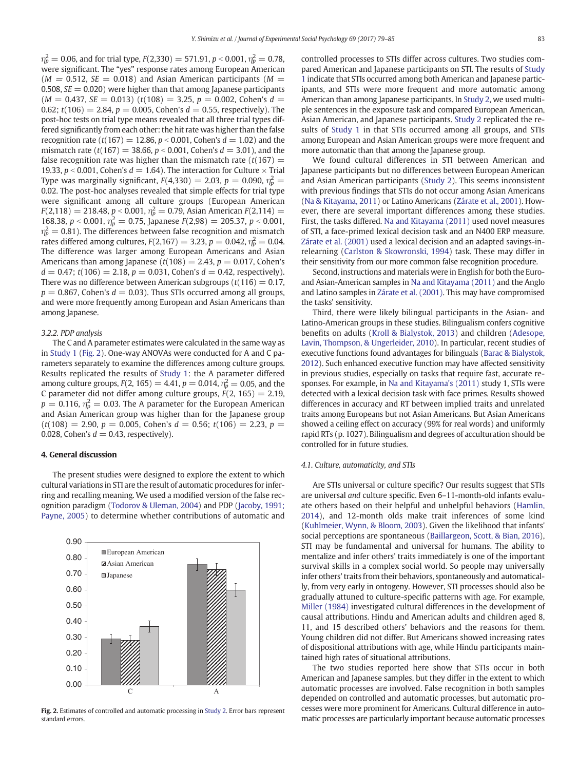$\eta_p^2 =$  0.06, and for trial type,  $F\rm{(2,330)} =$  571.91,  $p$  < 0.001,  $\eta_p^2 =$  0.78, were significant. The "yes" response rates among European American  $(M = 0.512, SE = 0.018)$  and Asian American participants  $(M = 0.512, SE = 0.018)$ 0.508,  $SE = 0.020$ ) were higher than that among Japanese participants  $(M = 0.437, SE = 0.013)$   $(t(108) = 3.25, p = 0.002, Cohen's d =$ 0.62;  $t(106) = 2.84$ ,  $p = 0.005$ , Cohen's  $d = 0.55$ , respectively). The post-hoc tests on trial type means revealed that all three trial types differed significantly from each other: the hit rate was higher than the false recognition rate (t(167) = 12.86,  $p < 0.001$ , Cohen's  $d = 1.02$ ) and the mismatch rate (t(167) = 38.66,  $p < 0.001$ , Cohen's  $d = 3.01$ ), and the false recognition rate was higher than the mismatch rate  $(t(167) =$ 19.33,  $p < 0.001$ , Cohen's  $d = 1.64$ ). The interaction for Culture  $\times$  Trial Type was marginally significant,  $F(4,330)=2.03$ ,  $p=0.090$ ,  $\eta_p^2=0$ 0.02. The post-hoc analyses revealed that simple effects for trial type were significant among all culture groups (European American  $F(2,118) = 218.48$ ,  $p < 0.001$ ,  $\eta_p^2 = 0.79$ , Asian American  $F(2,114) =$ 168.38,  $p < 0.001$ ,  $\eta_p^2 = 0.75$ , Japanese  $F(2,98) = 205.37$ ,  $p < 0.001$ ,  $\eta_p^2=$  0.81). The differences between false recognition and mismatch rates differed among cultures,  $F(2,167) = 3.23$ ,  $p = 0.042$ ,  $\eta_p^2 = 0.04$ . The difference was larger among European Americans and Asian Americans than among Japanese ( $t(108) = 2.43$ ,  $p = 0.017$ , Cohen's  $d = 0.47$ ;  $t(106) = 2.18$ ,  $p = 0.031$ , Cohen's  $d = 0.42$ , respectively). There was no difference between American subgroups ( $t(116) = 0.17$ ,  $p = 0.867$ , Cohen's  $d = 0.03$ ). Thus STIs occurred among all groups, and were more frequently among European and Asian Americans than among Japanese.

#### 3.2.2. PDP analysis

The C and A parameter estimates were calculated in the same way as in [Study 1](#page-2-0) (Fig. 2). One-way ANOVAs were conducted for A and C parameters separately to examine the differences among culture groups. Results replicated the results of [Study 1:](#page-2-0) the A parameter differed among culture groups,  $F(2, 165) = 4.41$ ,  $p = 0.014$ ,  $\eta_p^2 = 0.05$ , and the C parameter did not differ among culture groups,  $F(2, 165) = 2.19$ ,  $p\,=\,0.116$ ,  $\eta_p^2\,=\,0.03$ . The A parameter for the European American and Asian American group was higher than for the Japanese group  $(t(108) = 2.90, p = 0.005, \text{ Cohen's } d = 0.56; t(106) = 2.23, p =$ 0.028, Cohen's  $d = 0.43$ , respectively).

#### 4. General discussion

The present studies were designed to explore the extent to which cultural variations in STI are the result of automatic procedures for inferring and recalling meaning. We used a modified version of the false recognition paradigm ([Todorov & Uleman, 2004](#page-6-0)) and PDP ([Jacoby, 1991;](#page-6-0) [Payne, 2005\)](#page-6-0) to determine whether contributions of automatic and



Fig. 2. Estimates of controlled and automatic processing in [Study 2.](#page-3-0) Error bars represent standard errors.

controlled processes to STIs differ across cultures. Two studies compared American and Japanese participants on STI. The results of [Study](#page-2-0) [1](#page-2-0) indicate that STIs occurred among both American and Japanese participants, and STIs were more frequent and more automatic among American than among Japanese participants. In [Study 2,](#page-3-0) we used multiple sentences in the exposure task and compared European American, Asian American, and Japanese participants. [Study 2](#page-3-0) replicated the results of [Study 1](#page-2-0) in that STIs occurred among all groups, and STIs among European and Asian American groups were more frequent and more automatic than that among the Japanese group.

We found cultural differences in STI between American and Japanese participants but no differences between European American and Asian American participants [\(Study 2\)](#page-3-0). This seems inconsistent with previous findings that STIs do not occur among Asian Americans [\(Na & Kitayama, 2011\)](#page-6-0) or Latino Americans ([Zárate et al., 2001](#page-6-0)). However, there are several important differences among these studies. First, the tasks differed. [Na and Kitayama \(2011\)](#page-6-0) used novel measures of STI, a face-primed lexical decision task and an N400 ERP measure. [Zárate et al. \(2001\)](#page-6-0) used a lexical decision and an adapted savings-inrelearning ([Carlston & Skowronski, 1994\)](#page-5-0) task. These may differ in their sensitivity from our more common false recognition procedure.

Second, instructions and materials were in English for both the Euroand Asian-American samples in [Na and Kitayama \(2011\)](#page-6-0) and the Anglo and Latino samples in [Zárate et al. \(2001\)](#page-6-0). This may have compromised the tasks' sensitivity.

Third, there were likely bilingual participants in the Asian- and Latino-American groups in these studies. Bilingualism confers cognitive benefits on adults ([Kroll & Bialystok, 2013\)](#page-6-0) and children [\(Adesope,](#page-5-0) [Lavin, Thompson, & Ungerleider, 2010](#page-5-0)). In particular, recent studies of executive functions found advantages for bilinguals ([Barac & Bialystok,](#page-5-0) [2012](#page-5-0)). Such enhanced executive function may have affected sensitivity in previous studies, especially on tasks that require fast, accurate responses. For example, in [Na and Kitayama's \(2011\)](#page-6-0) study 1, STIs were detected with a lexical decision task with face primes. Results showed differences in accuracy and RT between implied traits and unrelated traits among Europeans but not Asian Americans. But Asian Americans showed a ceiling effect on accuracy (99% for real words) and uniformly rapid RTs (p. 1027). Bilingualism and degrees of acculturation should be controlled for in future studies.

#### 4.1. Culture, automaticity, and STIs

Are STIs universal or culture specific? Our results suggest that STIs are universal and culture specific. Even 6–11-month-old infants evaluate others based on their helpful and unhelpful behaviors ([Hamlin,](#page-6-0) [2014\)](#page-6-0), and 12-month olds make trait inferences of some kind [\(Kuhlmeier, Wynn, & Bloom, 2003](#page-6-0)). Given the likelihood that infants' social perceptions are spontaneous [\(Baillargeon, Scott, & Bian, 2016](#page-5-0)), STI may be fundamental and universal for humans. The ability to mentalize and infer others' traits immediately is one of the important survival skills in a complex social world. So people may universally infer others' traits from their behaviors, spontaneously and automatically, from very early in ontogeny. However, STI processes should also be gradually attuned to culture-specific patterns with age. For example, [Miller \(1984\)](#page-6-0) investigated cultural differences in the development of causal attributions. Hindu and American adults and children aged 8, 11, and 15 described others' behaviors and the reasons for them. Young children did not differ. But Americans showed increasing rates of dispositional attributions with age, while Hindu participants maintained high rates of situational attributions.

The two studies reported here show that STIs occur in both American and Japanese samples, but they differ in the extent to which automatic processes are involved. False recognition in both samples depended on controlled and automatic processes, but automatic processes were more prominent for Americans. Cultural difference in automatic processes are particularly important because automatic processes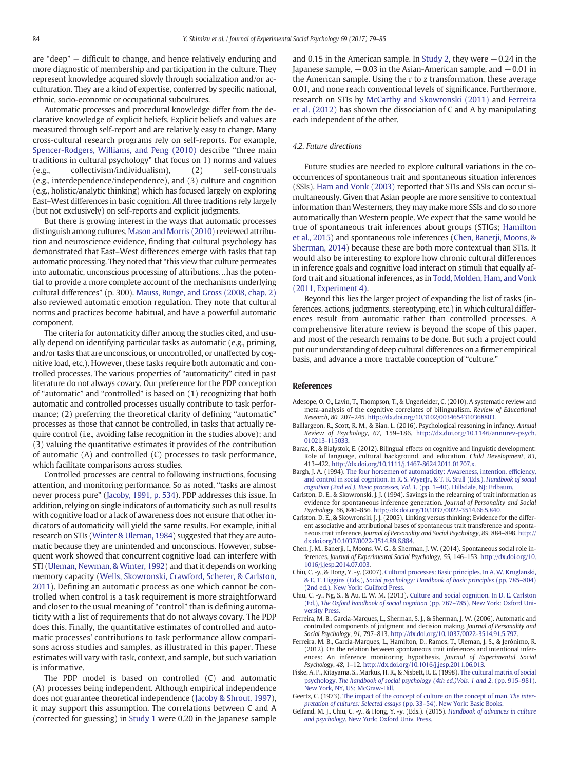<span id="page-5-0"></span>are "deep" — difficult to change, and hence relatively enduring and more diagnostic of membership and participation in the culture. They represent knowledge acquired slowly through socialization and/or acculturation. They are a kind of expertise, conferred by specific national, ethnic, socio-economic or occupational subcultures.

Automatic processes and procedural knowledge differ from the declarative knowledge of explicit beliefs. Explicit beliefs and values are measured through self-report and are relatively easy to change. Many cross-cultural research programs rely on self-reports. For example, [Spencer-Rodgers, Williams, and Peng \(2010\)](#page-6-0) describe "three main traditions in cultural psychology" that focus on 1) norms and values (e.g., collectivism/individualism), (2) self-construals (e.g., interdependence/independence), and (3) culture and cognition (e.g., holistic/analytic thinking) which has focused largely on exploring East–West differences in basic cognition. All three traditions rely largely (but not exclusively) on self-reports and explicit judgments.

But there is growing interest in the ways that automatic processes distinguish among cultures. [Mason and Morris \(2010\)](#page-6-0) reviewed attribution and neuroscience evidence, finding that cultural psychology has demonstrated that East–West differences emerge with tasks that tap automatic processing. They noted that "this view that culture permeates into automatic, unconscious processing of attributions…has the potential to provide a more complete account of the mechanisms underlying cultural differences" (p. 300). [Mauss, Bunge, and Gross \(2008, chap. 2\)](#page-6-0) also reviewed automatic emotion regulation. They note that cultural norms and practices become habitual, and have a powerful automatic component.

The criteria for automaticity differ among the studies cited, and usually depend on identifying particular tasks as automatic (e.g., priming, and/or tasks that are unconscious, or uncontrolled, or unaffected by cognitive load, etc.). However, these tasks require both automatic and controlled processes. The various properties of "automaticity" cited in past literature do not always covary. Our preference for the PDP conception of "automatic" and "controlled" is based on (1) recognizing that both automatic and controlled processes usually contribute to task performance; (2) preferring the theoretical clarity of defining "automatic" processes as those that cannot be controlled, in tasks that actually require control (i.e., avoiding false recognition in the studies above); and (3) valuing the quantitative estimates it provides of the contribution of automatic (A) and controlled (C) processes to task performance, which facilitate comparisons across studies.

Controlled processes are central to following instructions, focusing attention, and monitoring performance. So as noted, "tasks are almost never process pure" [\(Jacoby, 1991, p. 534](#page-6-0)). PDP addresses this issue. In addition, relying on single indicators of automaticity such as null results with cognitive load or a lack of awareness does not ensure that other indicators of automaticity will yield the same results. For example, initial research on STIs [\(Winter & Uleman, 1984\)](#page-6-0) suggested that they are automatic because they are unintended and unconscious. However, subsequent work showed that concurrent cognitive load can interfere with STI ([Uleman, Newman, & Winter, 1992\)](#page-6-0) and that it depends on working memory capacity ([Wells, Skowronski, Crawford, Scherer, & Carlston,](#page-6-0) [2011\)](#page-6-0). Defining an automatic process as one which cannot be controlled when control is a task requirement is more straightforward and closer to the usual meaning of "control" than is defining automaticity with a list of requirements that do not always covary. The PDP does this. Finally, the quantitative estimates of controlled and automatic processes' contributions to task performance allow comparisons across studies and samples, as illustrated in this paper. These estimates will vary with task, context, and sample, but such variation is informative.

The PDP model is based on controlled (C) and automatic (A) processes being independent. Although empirical independence does not guarantee theoretical independence [\(Jacoby & Shrout, 1997\)](#page-6-0), it may support this assumption. The correlations between C and A (corrected for guessing) in [Study 1](#page-2-0) were 0.20 in the Japanese sample

and 0.15 in the American sample. In [Study 2,](#page-3-0) they were −0.24 in the Japanese sample,  $-0.03$  in the Asian-American sample, and  $-0.01$  in the American sample. Using the r to z transformation, these average 0.01, and none reach conventional levels of significance. Furthermore, research on STIs by [McCarthy and Skowronski \(2011\)](#page-6-0) and Ferreira et al. (2012) has shown the dissociation of C and A by manipulating each independent of the other.

## 4.2. Future directions

Future studies are needed to explore cultural variations in the cooccurrences of spontaneous trait and spontaneous situation inferences (SSIs). [Ham and Vonk \(2003\)](#page-6-0) reported that STIs and SSIs can occur simultaneously. Given that Asian people are more sensitive to contextual information than Westerners, they may make more SSIs and do so more automatically than Western people. We expect that the same would be true of spontaneous trait inferences about groups (STIGs; [Hamilton](#page-6-0) [et al., 2015\)](#page-6-0) and spontaneous role inferences (Chen, Banerji, Moons, & Sherman, 2014) because these are both more contextual than STIs. It would also be interesting to explore how chronic cultural differences in inference goals and cognitive load interact on stimuli that equally afford trait and situational inferences, as in [Todd, Molden, Ham, and Vonk](#page-6-0) [\(2011, Experiment 4\)](#page-6-0).

Beyond this lies the larger project of expanding the list of tasks (inferences, actions, judgments, stereotyping, etc.) in which cultural differences result from automatic rather than controlled processes. A comprehensive literature review is beyond the scope of this paper, and most of the research remains to be done. But such a project could put our understanding of deep cultural differences on a firmer empirical basis, and advance a more tractable conception of "culture."

### References

- Adesope, O. O., Lavin, T., Thompson, T., & Ungerleider, C. (2010). A systematic review and meta-analysis of the cognitive correlates of bilingualism. Review of Educational Research, 80, 207–245. http://dx.doi.org[/10.3102/0034654310368803.](http://dx.doi.org/10.3102/0034654310368803)
- Baillargeon, R., Scott, R. M., & Bian, L. (2016). Psychological reasoning in infancy. Annual Review of Psychology, 67, 159–186. http://dx.doi.org/[10.1146/annurev-psych.](http://dx.doi.org/10.1146/annurev-psych.010213-115033) [010213-115033.](http://dx.doi.org/10.1146/annurev-psych.010213-115033)
- Barac, R., & Bialystok, E. (2012). Bilingual effects on cognitive and linguistic development: Role of language, cultural background, and education. Child Development, 83, 413–422. http://dx.doi.org/[10.1111/j.1467-8624.2011.01707.x](http://dx.doi.org/10.1111/j.1467-8624.2011.01707.x).
- Bargh, J. A. (1994). [The four horsemen of automaticity: Awareness, intention, ef](http://refhub.elsevier.com/S0022-1031(16)30164-0/rf0020)ficiency, [and control in social cognition. In R. S. WyerJr., & T. K. Srull \(Eds.\),](http://refhub.elsevier.com/S0022-1031(16)30164-0/rf0020) Handbook of social [cognition \(2nd ed.\). Basic processes](http://refhub.elsevier.com/S0022-1031(16)30164-0/rf0020), Vol. 1. (pp. 1-40). Hillsdale, NJ: Erlbaum.
- Carlston, D. E., & Skowronski, J. J. (1994). Savings in the relearning of trait information as evidence for spontaneous inference generation. Journal of Personality and Social Psychology, 66, 840–856. http://dx.doi.org/[10.1037/0022-3514.66.5.840](http://dx.doi.org/10.1037/0022-3514.66.5.840).
- Carlston, D. E., & Skowronski, J. J. (2005). Linking versus thinking: Evidence for the different associative and attributional bases of spontaneous trait transference and spontaneous trait inference. Journal of Personality and Social Psychology, 89, 884–898. http:// dx.doi.org[/10.1037/0022-3514.89.6.884](http://dx.doi.org/10.1037/0022-3514.89.6.884).
- Chen, J. M., Banerji, I., Moons, W. G., & Sherman, J. W. (2014). Spontaneous social role inferences. Journal of Experimental Social Psychology, 55, 146–153. http://dx.doi.org[/10.](http://dx.doi.org/10.1016/j.jesp.2014.07.003) [1016/j.jesp.2014.07.003.](http://dx.doi.org/10.1016/j.jesp.2014.07.003)
- Chiu, C. -y., & Hong, Y. -y. (2007). [Cultural processes: Basic principles. In A. W. Kruglanski,](http://refhub.elsevier.com/S0022-1031(16)30164-0/rf0040) & E. T. Higgins (Eds.), [Social psychology: Handbook of basic principles](http://refhub.elsevier.com/S0022-1031(16)30164-0/rf0040) (pp. 785–804) [\(2nd ed.\). New York: Guilford Press.](http://refhub.elsevier.com/S0022-1031(16)30164-0/rf0040)
- Chiu, C. -y., Ng, S., & Au, E. W. M. (2013). [Culture and social cognition. In D. E. Carlston](http://refhub.elsevier.com/S0022-1031(16)30164-0/rf0045) (Ed.), [The Oxford handbook of social cognition](http://refhub.elsevier.com/S0022-1031(16)30164-0/rf0045) (pp. 767–785). New York: Oxford Uni[versity Press.](http://refhub.elsevier.com/S0022-1031(16)30164-0/rf0045)
- Ferreira, M. B., Garcia-Marques, L., Sherman, S. J., & Sherman, J. W. (2006). Automatic and controlled components of judgment and decision making. Journal of Personality and Social Psychology, 91, 797–813. http://dx.doi.org[/10.1037/0022-3514.91.5.797.](http://dx.doi.org/10.1037/0022-3514.91.5.797)
- Ferreira, M. B., Garcia-Marques, L., Hamilton, D., Ramos, T., Uleman, J. S., & Jerónimo, R. (2012). On the relation between spontaneous trait inferences and intentional inferences: An inference monitoring hypothesis. Journal of Experimental Social Psychology, 48, 1–12. http://dx.doi.org[/10.1016/j.jesp.2011.06.013.](http://dx.doi.org/10.1016/j.jesp.2011.06.013)
- Fiske, A. P., Kitayama, S., Markus, H. R., & Nisbett, R. E. (1998). [The cultural matrix of social](http://refhub.elsevier.com/S0022-1031(16)30164-0/rf0060) psychology. [The handbook of social psychology \(4th ed.\)Vols. 1 and 2](http://refhub.elsevier.com/S0022-1031(16)30164-0/rf0060). (pp. 915–981). [New York, NY, US: McGraw-Hill.](http://refhub.elsevier.com/S0022-1031(16)30164-0/rf0060)
- Geertz, C. (1973). [The impact of the concept of culture on the concept of man.](http://refhub.elsevier.com/S0022-1031(16)30164-0/rf0065) The inter[pretation of cultures: Selected essays](http://refhub.elsevier.com/S0022-1031(16)30164-0/rf0065) (pp. 33–54). New York: Basic Books.
- Gelfand, M. J., Chiu, C. -y., & Hong, Y. -y. (Eds.). (2015). [Handbook of advances in culture](http://refhub.elsevier.com/S0022-1031(16)30164-0/rf0070) and psychology[. New York: Oxford Univ. Press.](http://refhub.elsevier.com/S0022-1031(16)30164-0/rf0070)